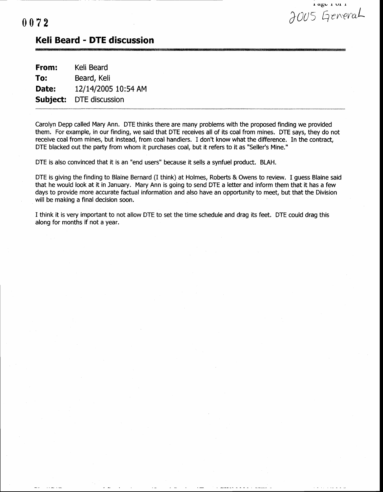$\log c$  1 vi 1  $0072$ 

## Keli Beard - DTE discussion

| From:    | Keli Beard          |
|----------|---------------------|
| To:      | Beard, Keli         |
| Date:    | 12/14/2005 10:54 AM |
| Subject: | DTE discussion      |

Carolyn Depp called Mary Ann. DTE thinks there are many problems with the proposed finding we provided them. For example, in our finding, we said that DTE receives all of its coal from mines. DTE says, they do not receive coal from mines, but instead, from coal handlers. I don't know what the difference, In the contract, DTE blacked out the party from whom it purchases coal, but it refers to it as "Seller's Mine."

DTE is also convinced that it is an "end users" because it sells a synfuel product. 8LAH.

DTE is giving the finding to Blaine Bernard (I think) at Holmes, Roberts & Owens to review. I guess Blaine said that he would look at it in January. Mary Ann is going to send DTE a letter and inform them that it has a few days to provide more accurate factual information and also have an opportunity to meet, but that the Division will be making a final decision soon.

I think it is very important to not allow DTE to set the time schedule and drag its feet. DTE could drag this along for months if not a year.